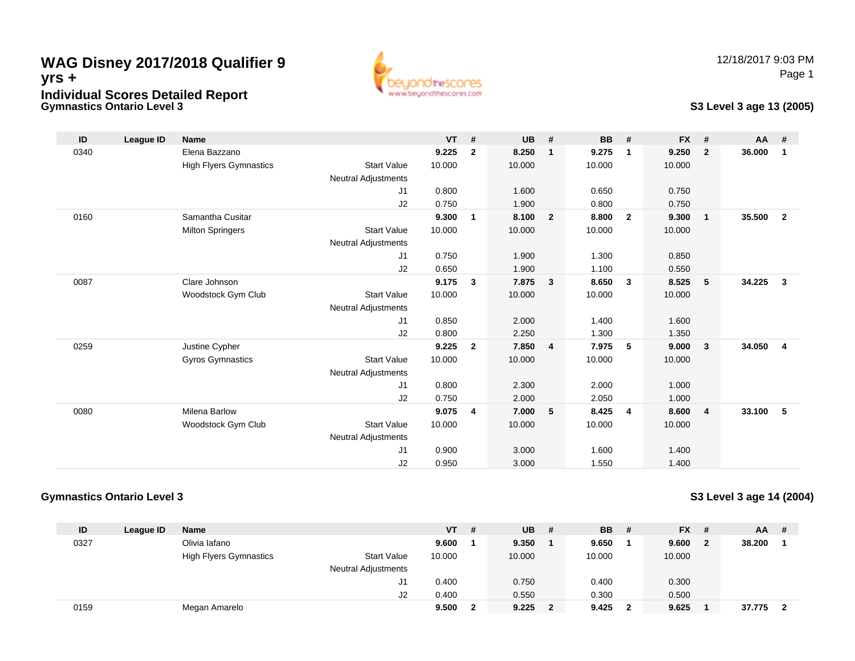### **Gymnastics Ontario Level 3WAG Disney 2017/2018 Qualifier 9yrs +Individual Scores Detailed Report**



#### **S3 Level 3 age 13 (2005)**

| ID   | League ID | <b>Name</b>                   |                            | <b>VT</b> | #              | <b>UB</b> | #                       | <b>BB</b> | #                       | <b>FX</b> | #              | <b>AA</b> | #              |
|------|-----------|-------------------------------|----------------------------|-----------|----------------|-----------|-------------------------|-----------|-------------------------|-----------|----------------|-----------|----------------|
| 0340 |           | Elena Bazzano                 |                            | 9.225     | $\mathbf{2}$   | 8.250     | $\overline{1}$          | 9.275     | -1                      | 9.250     | $\overline{2}$ | 36,000    | 1              |
|      |           | <b>High Flyers Gymnastics</b> | <b>Start Value</b>         | 10.000    |                | 10.000    |                         | 10.000    |                         | 10.000    |                |           |                |
|      |           |                               | <b>Neutral Adjustments</b> |           |                |           |                         |           |                         |           |                |           |                |
|      |           |                               | J1                         | 0.800     |                | 1.600     |                         | 0.650     |                         | 0.750     |                |           |                |
|      |           |                               | J2                         | 0.750     |                | 1.900     |                         | 0.800     |                         | 0.750     |                |           |                |
| 0160 |           | Samantha Cusitar              |                            | 9.300     | 1              | 8.100     | $\overline{\mathbf{2}}$ | 8.800     | $\overline{\mathbf{2}}$ | 9.300     | $\mathbf{1}$   | 35.500    | $\mathbf{2}$   |
|      |           | <b>Milton Springers</b>       | <b>Start Value</b>         | 10.000    |                | 10.000    |                         | 10.000    |                         | 10.000    |                |           |                |
|      |           |                               | <b>Neutral Adjustments</b> |           |                |           |                         |           |                         |           |                |           |                |
|      |           |                               | J <sub>1</sub>             | 0.750     |                | 1.900     |                         | 1.300     |                         | 0.850     |                |           |                |
|      |           |                               | J2                         | 0.650     |                | 1.900     |                         | 1.100     |                         | 0.550     |                |           |                |
| 0087 |           | Clare Johnson                 |                            | 9.175     | $\mathbf{3}$   | 7.875     | $\overline{\mathbf{3}}$ | 8.650     | $\mathbf{3}$            | 8.525     | 5              | 34.225    | 3              |
|      |           | Woodstock Gym Club            | <b>Start Value</b>         | 10.000    |                | 10.000    |                         | 10.000    |                         | 10.000    |                |           |                |
|      |           |                               | <b>Neutral Adjustments</b> |           |                |           |                         |           |                         |           |                |           |                |
|      |           |                               | J1                         | 0.850     |                | 2.000     |                         | 1.400     |                         | 1.600     |                |           |                |
|      |           |                               | J2                         | 0.800     |                | 2.250     |                         | 1.300     |                         | 1.350     |                |           |                |
| 0259 |           | Justine Cypher                |                            | 9.225     | $\overline{2}$ | 7.850     | $\overline{4}$          | 7.975     | - 5                     | 9.000     | $\overline{3}$ | 34.050    | $\overline{4}$ |
|      |           | <b>Gyros Gymnastics</b>       | <b>Start Value</b>         | 10.000    |                | 10.000    |                         | 10.000    |                         | 10.000    |                |           |                |
|      |           |                               | <b>Neutral Adjustments</b> |           |                |           |                         |           |                         |           |                |           |                |
|      |           |                               | J1                         | 0.800     |                | 2.300     |                         | 2.000     |                         | 1.000     |                |           |                |
|      |           |                               | J2                         | 0.750     |                | 2.000     |                         | 2.050     |                         | 1.000     |                |           |                |
| 0080 |           | <b>Milena Barlow</b>          |                            | 9.075     | 4              | 7.000     | $5\phantom{.0}$         | 8.425     | $\overline{4}$          | 8.600     | $\overline{4}$ | 33.100    | 5              |
|      |           | Woodstock Gym Club            | <b>Start Value</b>         | 10.000    |                | 10.000    |                         | 10.000    |                         | 10.000    |                |           |                |
|      |           |                               | <b>Neutral Adjustments</b> |           |                |           |                         |           |                         |           |                |           |                |
|      |           |                               | J <sub>1</sub>             | 0.900     |                | 3.000     |                         | 1.600     |                         | 1.400     |                |           |                |
|      |           |                               | J <sub>2</sub>             | 0.950     |                | 3.000     |                         | 1.550     |                         | 1.400     |                |           |                |

#### **Gymnastics Ontario Level 3**

#### **S3 Level 3 age 14 (2004)**

| ID   | League ID | <b>Name</b>                   |                     | <b>VT</b> | # | <b>UB</b> | -#           | <b>BB</b> | - # | <b>FX</b> | - #                     | <b>AA</b> | -# |
|------|-----------|-------------------------------|---------------------|-----------|---|-----------|--------------|-----------|-----|-----------|-------------------------|-----------|----|
| 0327 |           | Olivia lafano                 |                     | 9.600     |   | 9.350     |              | 9.650     |     | 9.600     | $\overline{\mathbf{2}}$ | 38.200    |    |
|      |           | <b>High Flyers Gymnastics</b> | <b>Start Value</b>  | 10.000    |   | 10.000    |              | 10.000    |     | 10.000    |                         |           |    |
|      |           |                               | Neutral Adjustments |           |   |           |              |           |     |           |                         |           |    |
|      |           |                               | J1                  | 0.400     |   | 0.750     |              | 0.400     |     | 0.300     |                         |           |    |
|      |           |                               | J2                  | 0.400     |   | 0.550     |              | 0.300     |     | 0.500     |                         |           |    |
| 0159 |           | Megan Amarelo                 |                     | 9.500     |   | 9.225     | $\mathbf{2}$ | 9.425     |     | 9.625     |                         | 37.775    |    |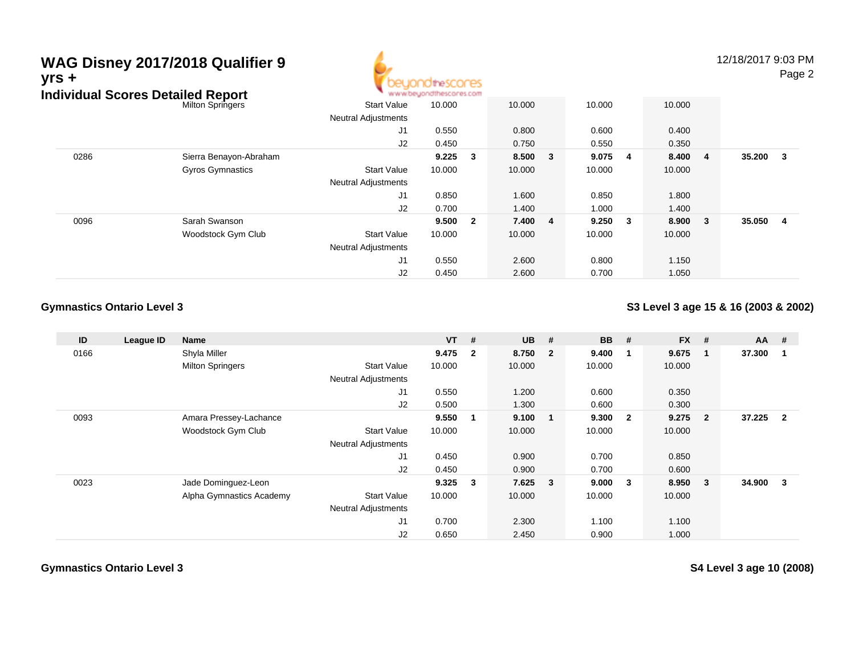| WAG Disney 2017/2018 Qualifier 9<br>yrs +<br><b>Individual Scores Detailed Report</b> |                         |                                                  | ondithescores<br>www.beuondthescores.com |                |        |   |        |     |         |                | 12/18/2017 9:03 PM | Page 2 |
|---------------------------------------------------------------------------------------|-------------------------|--------------------------------------------------|------------------------------------------|----------------|--------|---|--------|-----|---------|----------------|--------------------|--------|
|                                                                                       | <b>Milton Springers</b> | <b>Start Value</b><br><b>Neutral Adjustments</b> | 10.000                                   |                | 10.000 |   | 10.000 |     | 10.000  |                |                    |        |
|                                                                                       |                         | J1                                               | 0.550                                    |                | 0.800  |   | 0.600  |     | 0.400   |                |                    |        |
|                                                                                       |                         | J2                                               | 0.450                                    |                | 0.750  |   | 0.550  |     | 0.350   |                |                    |        |
| 0286                                                                                  | Sierra Benayon-Abraham  |                                                  | 9.225                                    | - 3            | 8.500  | 3 | 9.075  | -4  | 8.400   | $\overline{4}$ | 35.200             | $_{3}$ |
|                                                                                       | <b>Gyros Gymnastics</b> | <b>Start Value</b><br><b>Neutral Adjustments</b> | 10.000                                   |                | 10.000 |   | 10.000 |     | 10.000  |                |                    |        |
|                                                                                       |                         | J1                                               | 0.850                                    |                | 1.600  |   | 0.850  |     | 1.800   |                |                    |        |
|                                                                                       |                         | J <sub>2</sub>                                   | 0.700                                    |                | 1.400  |   | 1.000  |     | 1.400   |                |                    |        |
| 0096                                                                                  | Sarah Swanson           |                                                  | 9.500                                    | $\overline{2}$ | 7.400  | 4 | 9.250  | - 3 | 8.900 3 |                | 35.050             | - 4    |
|                                                                                       | Woodstock Gym Club      | <b>Start Value</b>                               | 10.000                                   |                | 10.000 |   | 10.000 |     | 10.000  |                |                    |        |
|                                                                                       |                         | <b>Neutral Adjustments</b>                       |                                          |                |        |   |        |     |         |                |                    |        |
|                                                                                       |                         | J1                                               | 0.550                                    |                | 2.600  |   | 0.800  |     | 1.150   |                |                    |        |

J2

0.450 2.600 0.700 1.050

### **Gymnastics Ontario Level 3**

### **S3 Level 3 age 15 & 16 (2003 & 2002)**

| ID   | League ID | Name                     |                            | $VT$ #  |                         | <b>UB</b> | #                       | <b>BB</b> | #                       | <b>FX</b> | #              | $AA$ # |                |
|------|-----------|--------------------------|----------------------------|---------|-------------------------|-----------|-------------------------|-----------|-------------------------|-----------|----------------|--------|----------------|
| 0166 |           | Shyla Miller             |                            | 9.475 2 |                         | 8.750     | $\overline{\mathbf{2}}$ | 9.400     | $\overline{\mathbf{1}}$ | 9.675     | 1              | 37.300 |                |
|      |           | <b>Milton Springers</b>  | <b>Start Value</b>         | 10.000  |                         | 10.000    |                         | 10.000    |                         | 10.000    |                |        |                |
|      |           |                          | <b>Neutral Adjustments</b> |         |                         |           |                         |           |                         |           |                |        |                |
|      |           |                          | J1                         | 0.550   |                         | 1.200     |                         | 0.600     |                         | 0.350     |                |        |                |
|      |           |                          | J2                         | 0.500   |                         | 1.300     |                         | 0.600     |                         | 0.300     |                |        |                |
| 0093 |           | Amara Pressey-Lachance   |                            | 9.550   | -1                      | 9.100     | $\overline{\mathbf{1}}$ | 9.300     | $\overline{\mathbf{2}}$ | 9.275     | $\overline{2}$ | 37.225 | $\overline{2}$ |
|      |           | Woodstock Gym Club       | <b>Start Value</b>         | 10.000  |                         | 10.000    |                         | 10.000    |                         | 10.000    |                |        |                |
|      |           |                          | <b>Neutral Adjustments</b> |         |                         |           |                         |           |                         |           |                |        |                |
|      |           |                          | J <sub>1</sub>             | 0.450   |                         | 0.900     |                         | 0.700     |                         | 0.850     |                |        |                |
|      |           |                          | J2                         | 0.450   |                         | 0.900     |                         | 0.700     |                         | 0.600     |                |        |                |
| 0023 |           | Jade Dominguez-Leon      |                            | 9.325   | $\overline{\mathbf{3}}$ | 7.625     | $\overline{\mathbf{3}}$ | 9.000     | $\mathbf{3}$            | 8.950     | 3              | 34.900 | 3              |
|      |           | Alpha Gymnastics Academy | <b>Start Value</b>         | 10.000  |                         | 10.000    |                         | 10.000    |                         | 10.000    |                |        |                |
|      |           |                          | <b>Neutral Adjustments</b> |         |                         |           |                         |           |                         |           |                |        |                |
|      |           |                          | J <sub>1</sub>             | 0.700   |                         | 2.300     |                         | 1.100     |                         | 1.100     |                |        |                |
|      |           |                          | J <sub>2</sub>             | 0.650   |                         | 2.450     |                         | 0.900     |                         | 1.000     |                |        |                |

**S4 Level 3 age 10 (2008)**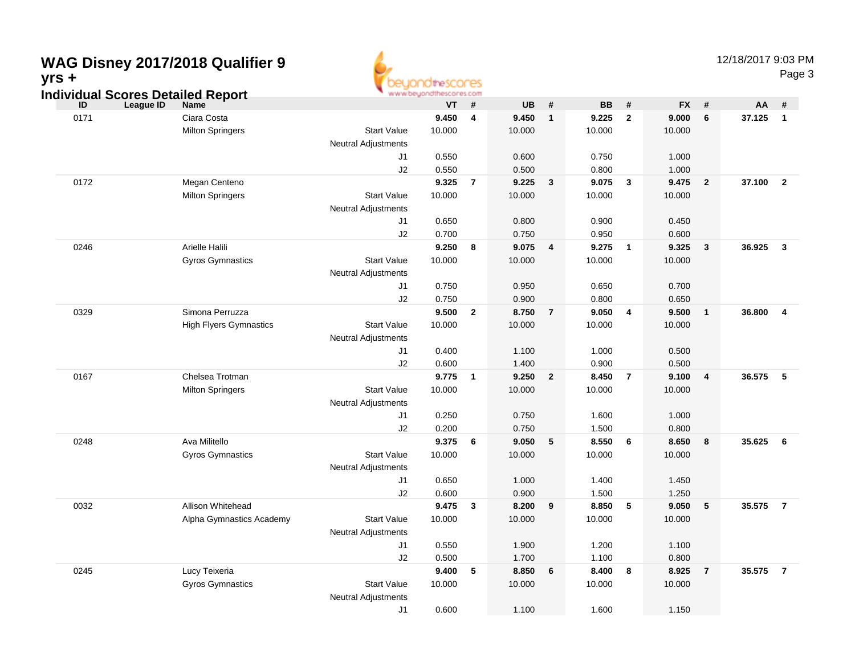# **WAG Disney 2017/2018 Qualifier 9**



Page 3

| yrs + |                                                                      |                            | JONOtheSCONES<br>www.beyondthescores.com |                         |                |                 |                |                |                |                 |        | ા વડ્                   |
|-------|----------------------------------------------------------------------|----------------------------|------------------------------------------|-------------------------|----------------|-----------------|----------------|----------------|----------------|-----------------|--------|-------------------------|
| ID    | <b>Individual Scores Detailed Report</b><br>League ID<br><b>Name</b> |                            | <b>VT</b>                                | #                       | <b>UB</b>      | #               | <b>BB</b>      | $\pmb{\#}$     | <b>FX</b>      | #               | AA     | #                       |
| 0171  | Ciara Costa                                                          |                            | 9.450                                    | 4                       | 9.450          | $\mathbf{1}$    | 9.225          | $\mathbf{2}$   | 9.000          | $6\phantom{1}6$ | 37.125 | $\overline{\mathbf{1}}$ |
|       | <b>Milton Springers</b>                                              | <b>Start Value</b>         | 10.000                                   |                         | 10.000         |                 | 10.000         |                | 10.000         |                 |        |                         |
|       |                                                                      | <b>Neutral Adjustments</b> |                                          |                         |                |                 |                |                |                |                 |        |                         |
|       |                                                                      | J1                         | 0.550                                    |                         | 0.600          |                 | 0.750          |                | 1.000          |                 |        |                         |
|       |                                                                      | J2                         | 0.550                                    |                         | 0.500          |                 | 0.800          |                | 1.000          |                 |        |                         |
| 0172  | Megan Centeno                                                        |                            | 9.325                                    | $\overline{7}$          | 9.225          | $\mathbf{3}$    | 9.075          | 3              | 9.475          | $\overline{2}$  | 37.100 | $\overline{\mathbf{2}}$ |
|       | <b>Milton Springers</b>                                              | <b>Start Value</b>         | 10.000                                   |                         | 10.000         |                 | 10.000         |                | 10.000         |                 |        |                         |
|       |                                                                      | <b>Neutral Adjustments</b> |                                          |                         |                |                 |                |                |                |                 |        |                         |
|       |                                                                      | J1                         | 0.650                                    |                         | 0.800          |                 | 0.900          |                | 0.450          |                 |        |                         |
|       |                                                                      | J2                         | 0.700                                    |                         | 0.750          |                 | 0.950          |                | 0.600          |                 |        |                         |
| 0246  | Arielle Halili                                                       |                            | 9.250                                    | 8                       | 9.075          | 4               | 9.275          | $\mathbf{1}$   | 9.325          | $\mathbf{3}$    | 36.925 | $\mathbf{3}$            |
|       | <b>Gyros Gymnastics</b>                                              | <b>Start Value</b>         | 10.000                                   |                         | 10.000         |                 | 10.000         |                | 10.000         |                 |        |                         |
|       |                                                                      | <b>Neutral Adjustments</b> |                                          |                         |                |                 |                |                |                |                 |        |                         |
|       |                                                                      | J1                         | 0.750                                    |                         | 0.950          |                 | 0.650          |                | 0.700          |                 |        |                         |
|       |                                                                      | J2                         | 0.750                                    |                         | 0.900          |                 | 0.800          |                | 0.650          |                 |        |                         |
| 0329  | Simona Perruzza                                                      |                            | 9.500                                    | $\overline{\mathbf{2}}$ | 8.750          | $\bf 7$         | 9.050          | 4              | 9.500          | $\overline{1}$  | 36.800 | $\overline{4}$          |
|       | <b>High Flyers Gymnastics</b>                                        | <b>Start Value</b>         | 10.000                                   |                         | 10.000         |                 | 10.000         |                | 10.000         |                 |        |                         |
|       |                                                                      | <b>Neutral Adjustments</b> |                                          |                         |                |                 |                |                |                |                 |        |                         |
|       |                                                                      | J1                         | 0.400                                    |                         | 1.100          |                 | 1.000          |                | 0.500          |                 |        |                         |
|       |                                                                      | J2                         | 0.600                                    |                         | 1.400          |                 | 0.900          |                | 0.500          |                 |        |                         |
| 0167  | Chelsea Trotman                                                      |                            | 9.775                                    | $\overline{1}$          | 9.250          | $\overline{2}$  | 8.450          | $\overline{7}$ | 9.100          | $\overline{4}$  | 36.575 | -5                      |
|       | <b>Milton Springers</b>                                              | <b>Start Value</b>         | 10.000                                   |                         | 10.000         |                 | 10.000         |                | 10.000         |                 |        |                         |
|       |                                                                      | <b>Neutral Adjustments</b> |                                          |                         |                |                 |                |                |                |                 |        |                         |
|       |                                                                      | J1                         | 0.250                                    |                         | 0.750          |                 | 1.600          |                | 1.000          |                 |        |                         |
|       |                                                                      | J2                         | 0.200                                    |                         | 0.750          |                 | 1.500          |                | 0.800          |                 |        |                         |
| 0248  | Ava Militello                                                        |                            | 9.375                                    | 6                       | 9.050          | 5               | 8.550          | 6              | 8.650          | 8               | 35.625 | 6                       |
|       | <b>Gyros Gymnastics</b>                                              | <b>Start Value</b>         | 10.000                                   |                         | 10.000         |                 | 10.000         |                | 10.000         |                 |        |                         |
|       |                                                                      | <b>Neutral Adjustments</b> |                                          |                         |                |                 |                |                |                |                 |        |                         |
|       |                                                                      | J1                         | 0.650                                    |                         | 1.000          |                 | 1.400          |                | 1.450          |                 |        |                         |
|       |                                                                      | J2                         | 0.600                                    |                         | 0.900          |                 | 1.500          |                | 1.250          |                 |        |                         |
| 0032  | Allison Whitehead                                                    |                            | 9.475                                    | $\mathbf{3}$            | 8.200          | 9               | 8.850          | 5              | 9.050          | 5               | 35.575 | $\overline{7}$          |
|       | Alpha Gymnastics Academy                                             | <b>Start Value</b>         | 10.000                                   |                         | 10.000         |                 | 10.000         |                | 10.000         |                 |        |                         |
|       |                                                                      | <b>Neutral Adjustments</b> |                                          |                         |                |                 |                |                |                |                 |        |                         |
|       |                                                                      | J1                         | 0.550                                    |                         | 1.900          |                 | 1.200          |                | 1.100          |                 |        |                         |
| 0245  | Lucy Teixeria                                                        | J2                         | 0.500<br>9.400                           | 5                       | 1.700<br>8.850 | $6\phantom{1}6$ | 1.100<br>8.400 | 8              | 0.800<br>8.925 | $\overline{7}$  | 35.575 | $\overline{7}$          |
|       |                                                                      | <b>Start Value</b>         |                                          |                         |                |                 |                |                |                |                 |        |                         |
|       | <b>Gyros Gymnastics</b>                                              | <b>Neutral Adjustments</b> | 10.000                                   |                         | 10.000         |                 | 10.000         |                | 10.000         |                 |        |                         |
|       |                                                                      | J <sub>1</sub>             | 0.600                                    |                         |                |                 | 1.600          |                |                |                 |        |                         |
|       |                                                                      |                            |                                          |                         | 1.100          |                 |                |                | 1.150          |                 |        |                         |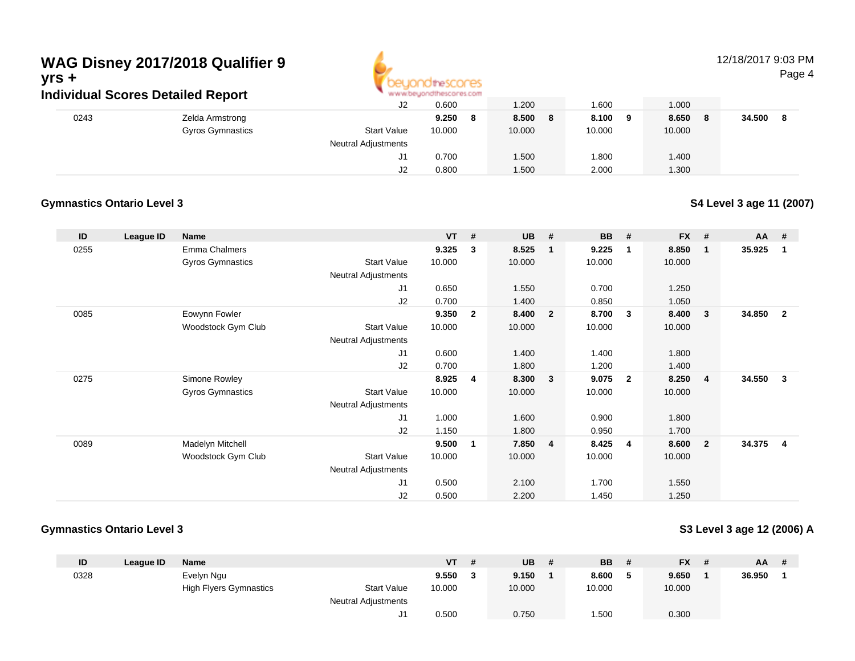

## 12/18/2017 9:03 PM

Page 4

|      | individual Scores Detalled Report |                            | ALAI ANYO AZAR IO ILMONTO LA 2010 |   |        |        |     |        |        |  |
|------|-----------------------------------|----------------------------|-----------------------------------|---|--------|--------|-----|--------|--------|--|
|      |                                   | J2                         | 0.600                             |   | 1.200  | 1.600  |     | 1.000  |        |  |
| 0243 | Zelda Armstrong                   |                            | 9.250                             | 8 | 8.500  | 8.100  | - 9 | 8.650  | 34.500 |  |
|      | Gyros Gymnastics                  | <b>Start Value</b>         | 10.000                            |   | 10.000 | 10.000 |     | 10.000 |        |  |
|      |                                   | <b>Neutral Adjustments</b> |                                   |   |        |        |     |        |        |  |
|      |                                   | J1                         | 0.700                             |   | 1.500  | 1.800  |     | 1.400  |        |  |
|      |                                   | J2                         | 0.800                             |   | 1.500  | 2.000  |     | 1.300  |        |  |

#### **Gymnastics Ontario Level 3**

**S4 Level 3 age 11 (2007)**

| ID   | League ID | Name                    |                            | $VT$ # |                | <b>UB</b> | #              | <b>BB</b> | - #                     | <b>FX</b> | #                       | $AA$ # |                |
|------|-----------|-------------------------|----------------------------|--------|----------------|-----------|----------------|-----------|-------------------------|-----------|-------------------------|--------|----------------|
| 0255 |           | Emma Chalmers           |                            | 9.325  | 3              | 8.525     | $\mathbf{1}$   | 9.225     | $\mathbf{1}$            | 8.850     | $\mathbf{1}$            | 35.925 | -1             |
|      |           | Gyros Gymnastics        | <b>Start Value</b>         | 10.000 |                | 10.000    |                | 10.000    |                         | 10.000    |                         |        |                |
|      |           |                         | Neutral Adjustments        |        |                |           |                |           |                         |           |                         |        |                |
|      |           |                         | J1                         | 0.650  |                | 1.550     |                | 0.700     |                         | 1.250     |                         |        |                |
|      |           |                         | J2                         | 0.700  |                | 1.400     |                | 0.850     |                         | 1.050     |                         |        |                |
| 0085 |           | Eowynn Fowler           |                            | 9.350  | $\overline{2}$ | 8.400     | $\overline{2}$ | 8.700     | $\mathbf{3}$            | 8.400     | $\mathbf{3}$            | 34.850 | $\overline{2}$ |
|      |           | Woodstock Gym Club      | <b>Start Value</b>         | 10.000 |                | 10.000    |                | 10.000    |                         | 10.000    |                         |        |                |
|      |           |                         | <b>Neutral Adjustments</b> |        |                |           |                |           |                         |           |                         |        |                |
|      |           |                         | J1                         | 0.600  |                | 1.400     |                | 1.400     |                         | 1.800     |                         |        |                |
|      |           |                         | J2                         | 0.700  |                | 1.800     |                | 1.200     |                         | 1.400     |                         |        |                |
| 0275 |           | Simone Rowley           |                            | 8.925  | 4              | 8.300     | 3              | 9.075     | $\overline{\mathbf{2}}$ | 8.250     | $\overline{\mathbf{4}}$ | 34.550 | 3              |
|      |           | <b>Gyros Gymnastics</b> | <b>Start Value</b>         | 10.000 |                | 10.000    |                | 10.000    |                         | 10.000    |                         |        |                |
|      |           |                         | Neutral Adjustments        |        |                |           |                |           |                         |           |                         |        |                |
|      |           |                         | J1                         | 1.000  |                | 1.600     |                | 0.900     |                         | 1.800     |                         |        |                |
|      |           |                         | J2                         | 1.150  |                | 1.800     |                | 0.950     |                         | 1.700     |                         |        |                |
| 0089 |           | Madelyn Mitchell        |                            | 9.500  | 1              | 7.850     | $\overline{4}$ | 8.425     | 4                       | 8.600     | $\overline{\mathbf{2}}$ | 34.375 | 4              |
|      |           | Woodstock Gym Club      | <b>Start Value</b>         | 10.000 |                | 10.000    |                | 10.000    |                         | 10.000    |                         |        |                |
|      |           |                         | Neutral Adjustments        |        |                |           |                |           |                         |           |                         |        |                |
|      |           |                         | J <sub>1</sub>             | 0.500  |                | 2.100     |                | 1.700     |                         | 1.550     |                         |        |                |
|      |           |                         | J2                         | 0.500  |                | 2.200     |                | 1.450     |                         | 1.250     |                         |        |                |

#### **Gymnastics Ontario Level 3**

### **S3 Level 3 age 12 (2006) A**

| ID   | League ID | <b>Name</b>                   |                            | VT     | # | <b>UB</b> | <b>BB</b> | <b>FX</b> | $AA$ # |  |
|------|-----------|-------------------------------|----------------------------|--------|---|-----------|-----------|-----------|--------|--|
| 0328 |           | Evelyn Ngu                    |                            | 9.550  |   | 9.150     | 8.600     | 9.650     | 36.950 |  |
|      |           | <b>High Flyers Gymnastics</b> | <b>Start Value</b>         | 10.000 |   | 10.000    | 10.000    | 10.000    |        |  |
|      |           |                               | <b>Neutral Adjustments</b> |        |   |           |           |           |        |  |
|      |           |                               |                            | 0.500  |   | 0.750     | .500      | 0.300     |        |  |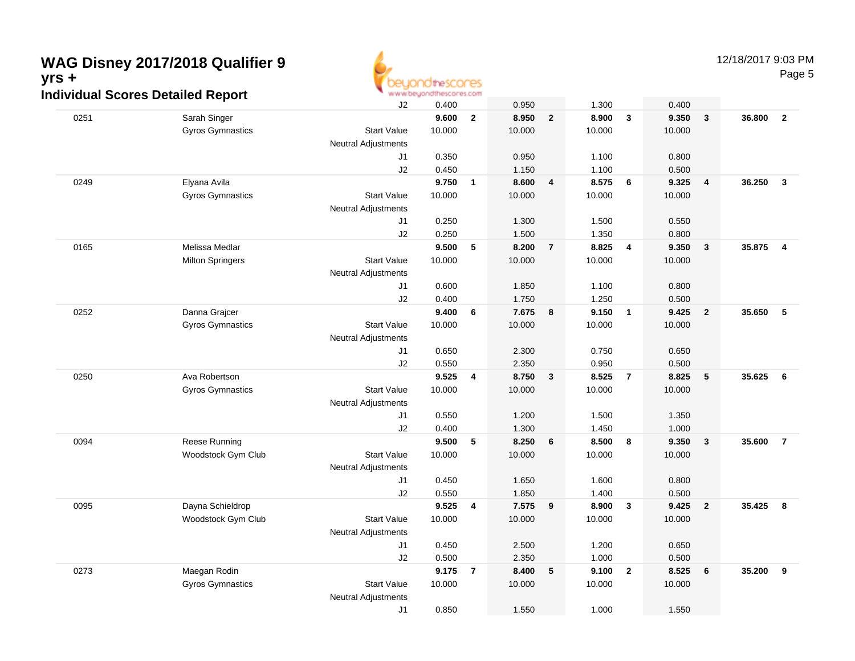

Page 5

|      | aar Oooroo Botanoa Roport | J2                         | 0.400  |                | 0.950  |                 | 1.300  |                         | 0.400  |                         |        |                |
|------|---------------------------|----------------------------|--------|----------------|--------|-----------------|--------|-------------------------|--------|-------------------------|--------|----------------|
| 0251 | Sarah Singer              |                            | 9.600  | $\mathbf{2}$   | 8.950  | $\mathbf{2}$    | 8.900  | $\mathbf{3}$            | 9.350  | $\overline{\mathbf{3}}$ | 36.800 | $\overline{2}$ |
|      | <b>Gyros Gymnastics</b>   | <b>Start Value</b>         | 10.000 |                | 10.000 |                 | 10.000 |                         | 10.000 |                         |        |                |
|      |                           | <b>Neutral Adjustments</b> |        |                |        |                 |        |                         |        |                         |        |                |
|      |                           | J1                         | 0.350  |                | 0.950  |                 | 1.100  |                         | 0.800  |                         |        |                |
|      |                           | J2                         | 0.450  |                | 1.150  |                 | 1.100  |                         | 0.500  |                         |        |                |
| 0249 | Elyana Avila              |                            | 9.750  | $\mathbf{1}$   | 8.600  | 4               | 8.575  | 6                       | 9.325  | $\overline{\mathbf{4}}$ | 36.250 | $\mathbf{3}$   |
|      | <b>Gyros Gymnastics</b>   | <b>Start Value</b>         | 10.000 |                | 10.000 |                 | 10.000 |                         | 10.000 |                         |        |                |
|      |                           | <b>Neutral Adjustments</b> |        |                |        |                 |        |                         |        |                         |        |                |
|      |                           | J1                         | 0.250  |                | 1.300  |                 | 1.500  |                         | 0.550  |                         |        |                |
|      |                           | J2                         | 0.250  |                | 1.500  |                 | 1.350  |                         | 0.800  |                         |        |                |
| 0165 | Melissa Medlar            |                            | 9.500  | 5              | 8.200  | $\overline{7}$  | 8.825  | 4                       | 9.350  | $\mathbf{3}$            | 35.875 | $\overline{4}$ |
|      | <b>Milton Springers</b>   | <b>Start Value</b>         | 10.000 |                | 10.000 |                 | 10.000 |                         | 10.000 |                         |        |                |
|      |                           | <b>Neutral Adjustments</b> |        |                |        |                 |        |                         |        |                         |        |                |
|      |                           | J1                         | 0.600  |                | 1.850  |                 | 1.100  |                         | 0.800  |                         |        |                |
|      |                           | J2                         | 0.400  |                | 1.750  |                 | 1.250  |                         | 0.500  |                         |        |                |
| 0252 | Danna Grajcer             |                            | 9.400  | 6              | 7.675  | 8               | 9.150  | $\overline{1}$          | 9.425  | $\overline{2}$          | 35.650 | 5              |
|      | <b>Gyros Gymnastics</b>   | <b>Start Value</b>         | 10.000 |                | 10.000 |                 | 10.000 |                         | 10.000 |                         |        |                |
|      |                           | <b>Neutral Adjustments</b> |        |                |        |                 |        |                         |        |                         |        |                |
|      |                           | J1                         | 0.650  |                | 2.300  |                 | 0.750  |                         | 0.650  |                         |        |                |
|      |                           | J2                         | 0.550  |                | 2.350  |                 | 0.950  |                         | 0.500  |                         |        |                |
| 0250 | Ava Robertson             |                            | 9.525  | 4              | 8.750  | $\mathbf{3}$    | 8.525  | $\overline{7}$          | 8.825  | 5                       | 35.625 | 6              |
|      | <b>Gyros Gymnastics</b>   | <b>Start Value</b>         | 10.000 |                | 10.000 |                 | 10.000 |                         | 10.000 |                         |        |                |
|      |                           | <b>Neutral Adjustments</b> |        |                |        |                 |        |                         |        |                         |        |                |
|      |                           | J1                         | 0.550  |                | 1.200  |                 | 1.500  |                         | 1.350  |                         |        |                |
|      |                           | J2                         | 0.400  |                | 1.300  |                 | 1.450  |                         | 1.000  |                         |        |                |
| 0094 | Reese Running             |                            | 9.500  | 5              | 8.250  | $6\phantom{1}6$ | 8.500  | 8                       | 9.350  | $\mathbf{3}$            | 35.600 | $\overline{7}$ |
|      | Woodstock Gym Club        | <b>Start Value</b>         | 10.000 |                | 10.000 |                 | 10.000 |                         | 10.000 |                         |        |                |
|      |                           | <b>Neutral Adjustments</b> |        |                |        |                 |        |                         |        |                         |        |                |
|      |                           | J1                         | 0.450  |                | 1.650  |                 | 1.600  |                         | 0.800  |                         |        |                |
|      |                           | J2                         | 0.550  |                | 1.850  |                 | 1.400  |                         | 0.500  |                         |        |                |
| 0095 | Dayna Schieldrop          |                            | 9.525  | 4              | 7.575  | 9               | 8.900  | $\overline{\mathbf{3}}$ | 9.425  | $\overline{\mathbf{2}}$ | 35.425 | 8              |
|      | Woodstock Gym Club        | <b>Start Value</b>         | 10.000 |                | 10.000 |                 | 10.000 |                         | 10.000 |                         |        |                |
|      |                           | <b>Neutral Adjustments</b> |        |                |        |                 |        |                         |        |                         |        |                |
|      |                           | J1                         | 0.450  |                | 2.500  |                 | 1.200  |                         | 0.650  |                         |        |                |
|      |                           | J2                         | 0.500  |                | 2.350  |                 | 1.000  |                         | 0.500  |                         |        |                |
| 0273 | Maegan Rodin              |                            | 9.175  | $\overline{7}$ | 8.400  | 5               | 9.100  | $\overline{2}$          | 8.525  | 6                       | 35.200 | 9              |
|      | <b>Gyros Gymnastics</b>   | <b>Start Value</b>         | 10.000 |                | 10.000 |                 | 10.000 |                         | 10.000 |                         |        |                |
|      |                           | <b>Neutral Adjustments</b> |        |                |        |                 |        |                         |        |                         |        |                |
|      |                           | J1                         | 0.850  |                | 1.550  |                 | 1.000  |                         | 1.550  |                         |        |                |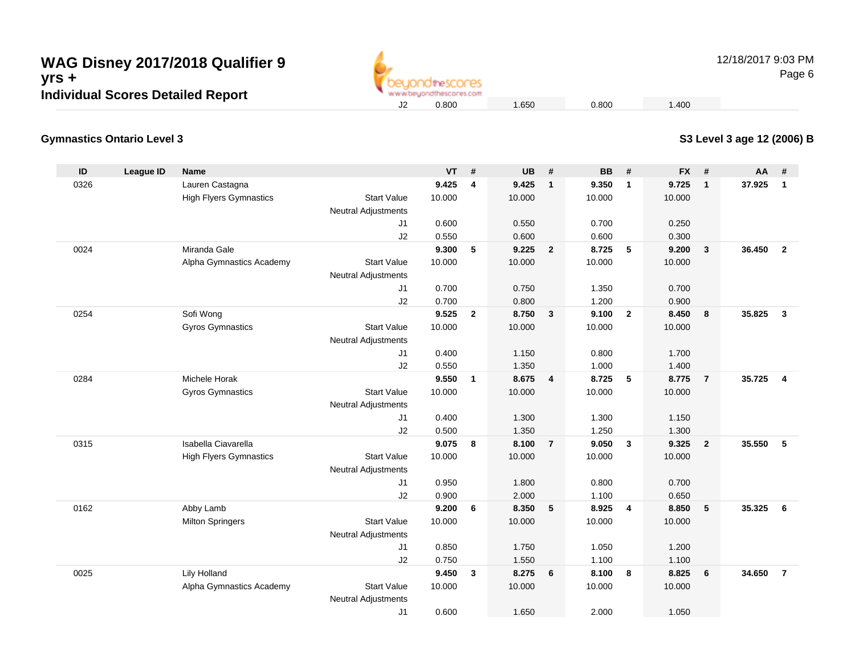

12/18/2017 9:03 PMPage 6

**S3 Level 3 age 12 (2006) B**

#### **Gymnastics Ontario Level 3**

| ID   | <b>League ID</b> | <b>Name</b>                   |                            | <b>VT</b>      | #              | <b>UB</b>      | #                       | <b>BB</b>      | #              | <b>FX</b>      | #               | AA     | #                       |
|------|------------------|-------------------------------|----------------------------|----------------|----------------|----------------|-------------------------|----------------|----------------|----------------|-----------------|--------|-------------------------|
| 0326 |                  | Lauren Castagna               |                            | 9.425          | 4              | 9.425          | $\overline{1}$          | 9.350          | $\mathbf{1}$   | 9.725          | $\mathbf{1}$    | 37.925 | $\mathbf{1}$            |
|      |                  | <b>High Flyers Gymnastics</b> | <b>Start Value</b>         | 10.000         |                | 10.000         |                         | 10.000         |                | 10.000         |                 |        |                         |
|      |                  |                               | <b>Neutral Adjustments</b> |                |                |                |                         |                |                |                |                 |        |                         |
|      |                  |                               | J1                         | 0.600          |                | 0.550          |                         | 0.700          |                | 0.250          |                 |        |                         |
|      |                  |                               | J2                         | 0.550          |                | 0.600          |                         | 0.600          |                | 0.300          |                 |        |                         |
| 0024 |                  | Miranda Gale                  |                            | 9.300          | 5              | 9.225          | $\overline{2}$          | 8.725          | 5              | 9.200          | $\mathbf{3}$    | 36.450 | $\overline{\mathbf{2}}$ |
|      |                  | Alpha Gymnastics Academy      | <b>Start Value</b>         | 10.000         |                | 10.000         |                         | 10.000         |                | 10.000         |                 |        |                         |
|      |                  |                               | <b>Neutral Adjustments</b> |                |                |                |                         |                |                |                |                 |        |                         |
|      |                  |                               | J1                         | 0.700          |                | 0.750          |                         | 1.350          |                | 0.700          |                 |        |                         |
|      |                  |                               | J2                         | 0.700          |                | 0.800          |                         | 1.200          |                | 0.900          |                 |        |                         |
| 0254 |                  | Sofi Wong                     |                            | 9.525          | $\overline{2}$ | 8.750          | $\overline{\mathbf{3}}$ | 9.100          | $\overline{2}$ | 8.450          | 8               | 35.825 | $\overline{\mathbf{3}}$ |
|      |                  | <b>Gyros Gymnastics</b>       | <b>Start Value</b>         | 10.000         |                | 10.000         |                         | 10.000         |                | 10.000         |                 |        |                         |
|      |                  |                               | <b>Neutral Adjustments</b> |                |                |                |                         |                |                |                |                 |        |                         |
|      |                  |                               | J <sub>1</sub><br>J2       | 0.400<br>0.550 |                | 1.150<br>1.350 |                         | 0.800<br>1.000 |                | 1.700<br>1.400 |                 |        |                         |
| 0284 |                  | <b>Michele Horak</b>          |                            | 9.550          | $\mathbf{1}$   | 8.675          | $\overline{4}$          | 8.725          | 5              | 8.775          | $\overline{7}$  | 35.725 | $\overline{4}$          |
|      |                  | <b>Gyros Gymnastics</b>       | <b>Start Value</b>         | 10.000         |                | 10.000         |                         | 10.000         |                | 10.000         |                 |        |                         |
|      |                  |                               | Neutral Adjustments        |                |                |                |                         |                |                |                |                 |        |                         |
|      |                  |                               | J <sub>1</sub>             | 0.400          |                | 1.300          |                         | 1.300          |                | 1.150          |                 |        |                         |
|      |                  |                               | J2                         | 0.500          |                | 1.350          |                         | 1.250          |                | 1.300          |                 |        |                         |
| 0315 |                  | Isabella Ciavarella           |                            | 9.075          | 8              | 8.100          | $\overline{7}$          | 9.050          | 3              | 9.325          | $\mathbf{2}$    | 35.550 | 5                       |
|      |                  | <b>High Flyers Gymnastics</b> | <b>Start Value</b>         | 10.000         |                | 10.000         |                         | 10.000         |                | 10.000         |                 |        |                         |
|      |                  |                               | <b>Neutral Adjustments</b> |                |                |                |                         |                |                |                |                 |        |                         |
|      |                  |                               | J <sub>1</sub>             | 0.950          |                | 1.800          |                         | 0.800          |                | 0.700          |                 |        |                         |
|      |                  |                               | J2                         | 0.900          |                | 2.000          |                         | 1.100          |                | 0.650          |                 |        |                         |
| 0162 |                  | Abby Lamb                     |                            | 9.200          | 6              | 8.350          | 5                       | 8.925          | $\overline{4}$ | 8.850          | 5               | 35.325 | 6                       |
|      |                  | <b>Milton Springers</b>       | <b>Start Value</b>         | 10.000         |                | 10.000         |                         | 10.000         |                | 10.000         |                 |        |                         |
|      |                  |                               | <b>Neutral Adjustments</b> |                |                |                |                         |                |                |                |                 |        |                         |
|      |                  |                               | J <sub>1</sub>             | 0.850          |                | 1.750          |                         | 1.050          |                | 1.200          |                 |        |                         |
|      |                  |                               | J2                         | 0.750          |                | 1.550          |                         | 1.100          |                | 1.100          |                 |        |                         |
| 0025 |                  | Lily Holland                  |                            | 9.450          | $\mathbf{3}$   | 8.275          | 6                       | 8.100          | 8              | 8.825          | $6\phantom{1}6$ | 34.650 | $\overline{7}$          |
|      |                  | Alpha Gymnastics Academy      | <b>Start Value</b>         | 10.000         |                | 10.000         |                         | 10.000         |                | 10.000         |                 |        |                         |
|      |                  |                               | <b>Neutral Adjustments</b> |                |                |                |                         |                |                |                |                 |        |                         |
|      |                  |                               | J1                         | 0.600          |                | 1.650          |                         | 2.000          |                | 1.050          |                 |        |                         |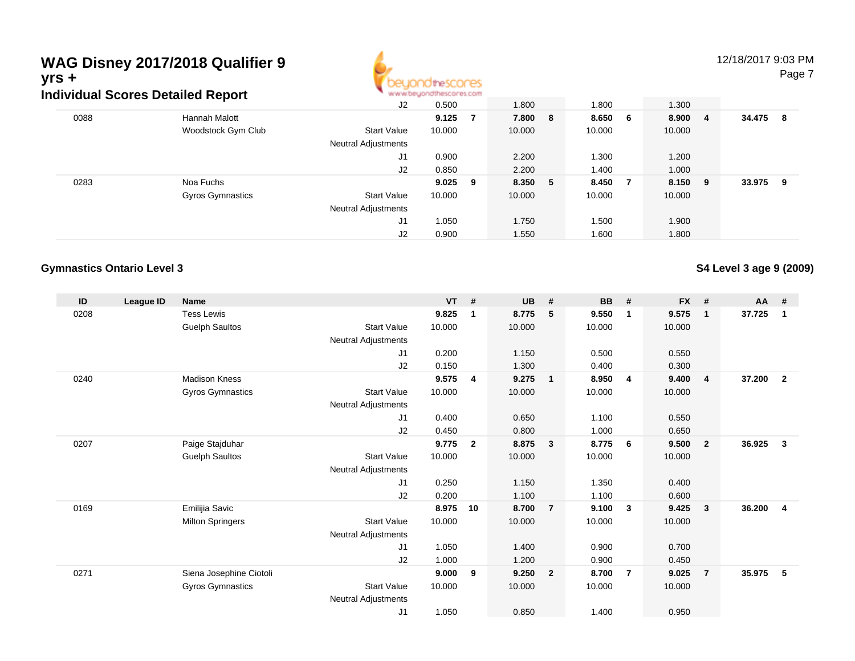

## 12/18/2017 9:03 PM

Page 7

|      | idividual Scores Detalled Report |                                           | WAS ACCOUNTED AND INVESTIGATION. |         |         |                |        |     |        |     |
|------|----------------------------------|-------------------------------------------|----------------------------------|---------|---------|----------------|--------|-----|--------|-----|
|      |                                  | J2                                        | 0.500                            | 1.800   | 1.800   |                | 1.300  |     |        |     |
| 0088 | Hannah Malott                    |                                           | $9.125$ 7                        | 7.800 8 | 8.650 6 |                | 8.900  | - 4 | 34.475 | - 8 |
|      | Woodstock Gym Club               | <b>Start Value</b><br>Neutral Adjustments | 10.000                           | 10.000  | 10.000  |                | 10.000 |     |        |     |
|      |                                  | J1                                        | 0.900                            | 2.200   | 1.300   |                | 1.200  |     |        |     |
|      |                                  | J2                                        | 0.850                            | 2.200   | 1.400   |                | 1.000  |     |        |     |
| 0283 | Noa Fuchs                        |                                           | $9.025$ 9                        | 8.350 5 | 8.450   | $\overline{7}$ | 8.150  | - 9 | 33.975 | 9   |
|      | Gyros Gymnastics                 | <b>Start Value</b>                        | 10.000                           | 10.000  | 10.000  |                | 10.000 |     |        |     |
|      |                                  | <b>Neutral Adjustments</b>                |                                  |         |         |                |        |     |        |     |
|      |                                  | J1                                        | 1.050                            | 1.750   | 1.500   |                | 1.900  |     |        |     |
|      |                                  | J2                                        | 0.900                            | 1.550   | 1.600   |                | 1.800  |     |        |     |

#### **Gymnastics Ontario Level 3**

**S4 Level 3 age 9 (2009)**

| ID   | <b>League ID</b> | <b>Name</b>             |                            | <b>VT</b> | #            | <b>UB</b> | #                       | <b>BB</b> | #            | <b>FX</b> | #              | <b>AA</b> | #              |
|------|------------------|-------------------------|----------------------------|-----------|--------------|-----------|-------------------------|-----------|--------------|-----------|----------------|-----------|----------------|
| 0208 |                  | <b>Tess Lewis</b>       |                            | 9.825     | -1           | 8.775     | 5                       | 9.550     | $\mathbf 1$  | 9.575     | $\mathbf{1}$   | 37.725    | -1             |
|      |                  | <b>Guelph Saultos</b>   | <b>Start Value</b>         | 10.000    |              | 10.000    |                         | 10.000    |              | 10.000    |                |           |                |
|      |                  |                         | <b>Neutral Adjustments</b> |           |              |           |                         |           |              |           |                |           |                |
|      |                  |                         | J1                         | 0.200     |              | 1.150     |                         | 0.500     |              | 0.550     |                |           |                |
|      |                  |                         | J2                         | 0.150     |              | 1.300     |                         | 0.400     |              | 0.300     |                |           |                |
| 0240 |                  | <b>Madison Kness</b>    |                            | 9.575     | 4            | 9.275     | $\overline{1}$          | 8.950     | -4           | 9.400     | $\overline{4}$ | 37.200    | $\overline{2}$ |
|      |                  | Gyros Gymnastics        | <b>Start Value</b>         | 10.000    |              | 10.000    |                         | 10.000    |              | 10.000    |                |           |                |
|      |                  |                         | Neutral Adjustments        |           |              |           |                         |           |              |           |                |           |                |
|      |                  |                         | J1                         | 0.400     |              | 0.650     |                         | 1.100     |              | 0.550     |                |           |                |
|      |                  |                         | J2                         | 0.450     |              | 0.800     |                         | 1.000     |              | 0.650     |                |           |                |
| 0207 |                  | Paige Stajduhar         |                            | 9.775     | $\mathbf{2}$ | 8.875     | $\overline{\mathbf{3}}$ | 8.775     | - 6          | 9.500     | $\overline{2}$ | 36.925    | 3              |
|      |                  | <b>Guelph Saultos</b>   | <b>Start Value</b>         | 10.000    |              | 10.000    |                         | 10.000    |              | 10.000    |                |           |                |
|      |                  |                         | Neutral Adjustments        |           |              |           |                         |           |              |           |                |           |                |
|      |                  |                         | J1                         | 0.250     |              | 1.150     |                         | 1.350     |              | 0.400     |                |           |                |
|      |                  |                         | J2                         | 0.200     |              | 1.100     |                         | 1.100     |              | 0.600     |                |           |                |
| 0169 |                  | Emilijia Savic          |                            | 8.975     | 10           | 8.700     | $\overline{7}$          | 9.100     | $\mathbf{3}$ | 9.425     | $\mathbf{3}$   | 36.200    | $\overline{4}$ |
|      |                  | <b>Milton Springers</b> | <b>Start Value</b>         | 10.000    |              | 10.000    |                         | 10.000    |              | 10.000    |                |           |                |
|      |                  |                         | <b>Neutral Adjustments</b> |           |              |           |                         |           |              |           |                |           |                |
|      |                  |                         | J1                         | 1.050     |              | 1.400     |                         | 0.900     |              | 0.700     |                |           |                |
|      |                  |                         | J2                         | 1.000     |              | 1.200     |                         | 0.900     |              | 0.450     |                |           |                |
| 0271 |                  | Siena Josephine Ciotoli |                            | 9.000     | 9            | 9.250     | $\overline{\mathbf{2}}$ | 8.700     | -7           | 9.025     | $\overline{7}$ | 35.975    | 5              |
|      |                  | <b>Gyros Gymnastics</b> | <b>Start Value</b>         | 10.000    |              | 10.000    |                         | 10.000    |              | 10.000    |                |           |                |
|      |                  |                         | <b>Neutral Adjustments</b> |           |              |           |                         |           |              |           |                |           |                |
|      |                  |                         | J1                         | 1.050     |              | 0.850     |                         | 1.400     |              | 0.950     |                |           |                |